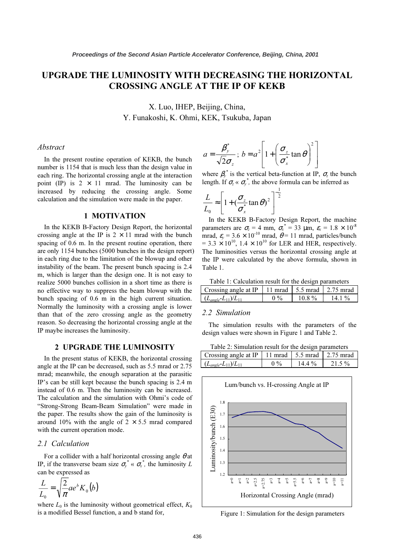# UPGRADE THE LUMINOSITY WITH DECREASING THE HORIZONTAL CROSSING ANGLE AT THE IP OF KEKB

X. Luo, IHEP, Beijing, China,<br>Y. Funakoshi, K. Ohmi, KEK, Tsukuba, Japan Y. Funakoshi, K. Ohmi, KEK, Tsukuba, Japan

#### Abstract

In the present routine operation of KEKB, the bunch number is 1154 that is much less than the design value in each ring. The horizontal crossing angle at the interaction point (IP) is  $2 \times 11$  mrad. The luminosity can be increased by reducing the crossing angle. Some calculation and the simulation were made in the paper.

## 1 MOTIVATION

In the KEKB B-Factory Design Report, the horizontal crossing angle at the IP is  $2 \times 11$  mrad with the bunch spacing of 0.6 m. In the present routine operation, there are only 1154 bunches (5000 bunches in the design report) in each ring due to the limitation of the blowup and other instability of the beam. The present bunch spacing is 2.4 m, which is larger than the design one. It is not easy to realize 5000 bunches collision in a short time as there is no effective way to suppress the beam blowup with the bunch spacing of 0.6 m in the high current situation. Normally the luminosity with a crossing angle is lower than that of the zero crossing angle as the geometry reason. So decreasing the horizontal crossing angle at the IP maybe increases the luminosity.

## 2 UPGRADE THE LUMINOSITY

In the present status of KEKB, the horizontal crossing angle at the IP can be decreased, such as 5.5 mrad or 2.75 mrad; meanwhile, the enough separation at the parasitic IP's can be still kept because the bunch spacing is 2.4 m instead of 0.6 m. Then the luminosity can be increased. The calculation and the simulation with Ohmi's code of "Strong-Strong Beam-Beam Simulation" were made in the paper. The results show the gain of the luminosity is around 10% with the angle of  $2 \times 5.5$  mrad compared with the current operation mode.

#### 2.1 Calculation

For a collider with a half horizontal crossing angle  $\theta$  at IP, if the transverse beam size  $\sigma_{y}^{*} \times \sigma_{x}^{*}$ , the luminosity L can be expressed as

$$
\frac{L}{L_0} = \sqrt{\frac{2}{\pi}} a e^b K_0(b)
$$

where  $L_0$  is the luminosity without geometrical effect,  $K_0$ is a modified Bessel function, a and b stand for,

$$
a = \frac{\beta_y^*}{\sqrt{2}\sigma_z}; b = a^2 \left[ 1 + \left( \frac{\sigma_z}{\sigma_x^*} \tan \theta \right)^2 \right]
$$

where  $\beta_{\nu}^*$  is the vertical beta-function at IP,  $\sigma_z$  the bunch leads to  $\beta_z$ length. If  $\sigma_z \ll \sigma_y^*$ , the above formula can be inferred as

$$
\frac{L}{L_0} \approx \left[1 + \left(\frac{\sigma_z}{\sigma_x^*} \tan \theta\right)^2\right]^{-\frac{1}{2}}
$$

In the KEKB B-Factory Design Report, the machine parameters are  $\sigma_z = 4$  mm,  $\sigma_x^* = 33$  μm,  $\varepsilon_x = 1.8 \times 10^{-8}$ mrad,  $\varepsilon_v = 3.6 \times 10^{-10}$  mrad,  $\theta = 11$  mrad, particles/bunch  $= 3.3 \times 10^{10}$ ,  $1.4 \times 10^{10}$  for LER and HER, respectively. The luminosities versus the horizontal crossing angle at the IP were calculated by the above formula, shown in Table 1.

Table 1: Calculation result for the design parameters

| Crossing angle at IP   11 mrad   5.5 mrad   2.75 mrad |       |          |           |
|-------------------------------------------------------|-------|----------|-----------|
| $(L_{angle} - L_{11})/L_{11}$                         | $0\%$ | $10.8\%$ | 14.1 $\%$ |
|                                                       |       |          |           |

#### 2.2 Simulation

The simulation results with the parameters of the design values were shown in Figure 1 and Table 2.

Table 2: Simulation result for the design parameters

| Crossing angle at IP   11 mrad   5.5 mrad   2.75 mrad |       |          |          |
|-------------------------------------------------------|-------|----------|----------|
| $(L_{angle}L_{11})/L_{11}$                            | $0\%$ | $14.4\%$ | $21.5\%$ |
|                                                       |       |          |          |



Figure 1: Simulation for the design parameters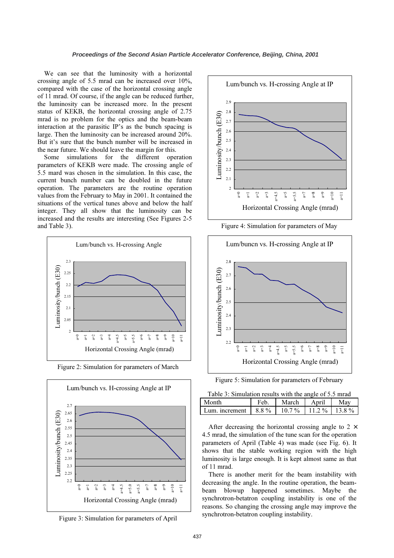We can see that the luminosity with a horizontal crossing angle of 5.5 mrad can be increased over 10%, compared with the case of the horizontal crossing angle of 11 mrad. Of course, if the angle can be reduced further, the luminosity can be increased more. In the present status of KEKB, the horizontal crossing angle of 2.75 mrad is no problem for the optics and the beam-beam interaction at the parasitic IP's as the bunch spacing is large. Then the luminosity can be increased around 20%. But it's sure that the bunch number will be increased in the near future. We should leave the margin for this.

Some simulations for the different operation parameters of KEKB were made. The crossing angle of 5.5 mard was chosen in the simulation. In this case, the current bunch number can be doubled in the future operation. The parameters are the routine operation values from the February to May in 2001. It contained the situations of the vertical tunes above and below the half integer. They all show that the luminosity can be increased and the results are interesting (See Figures 2-5 and Table 3).



Figure 2: Simulation for parameters of March







Figure 4: Simulation for parameters of May



Figure 5: Simulation for parameters of February

| Table 3: Simulation results with the angle of 5.5 mrad |  |  |
|--------------------------------------------------------|--|--|
|                                                        |  |  |

| Month          | Feb     | March    | Anril          |  |
|----------------|---------|----------|----------------|--|
| Lum. increment | $8.8\%$ | $10.7\%$ | $11.2\%$ 13.8% |  |

After decreasing the horizontal crossing angle to  $2 \times$ 4.5 mrad, the simulation of the tune scan for the operation parameters of April (Table 4) was made (see Fig. 6). It shows that the stable working region with the high luminosity is large enough. It is kept almost same as that of 11 mrad.

There is another merit for the beam instability with decreasing the angle. In the routine operation, the beambeam blowup happened sometimes. Maybe the synchrotron-betatron coupling instability is one of the reasons. So changing the crossing angle may improve the synchrotron-betatron coupling instability.